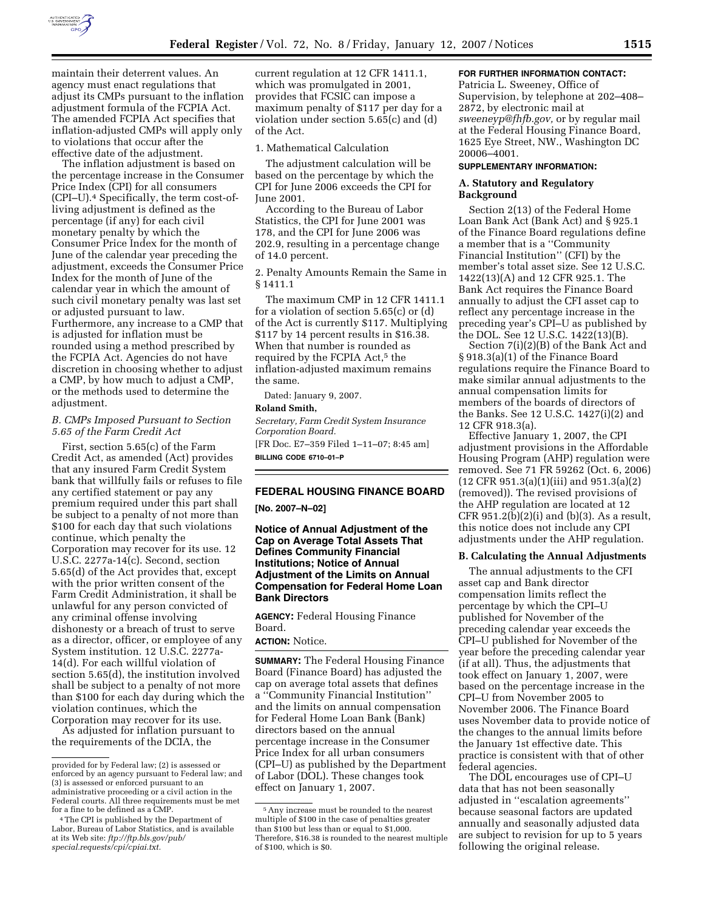

maintain their deterrent values. An agency must enact regulations that adjust its CMPs pursuant to the inflation adjustment formula of the FCPIA Act. The amended FCPIA Act specifies that inflation-adjusted CMPs will apply only to violations that occur after the effective date of the adjustment.

The inflation adjustment is based on the percentage increase in the Consumer Price Index (CPI) for all consumers (CPI–U).4 Specifically, the term cost-ofliving adjustment is defined as the percentage (if any) for each civil monetary penalty by which the Consumer Price Index for the month of June of the calendar year preceding the adjustment, exceeds the Consumer Price Index for the month of June of the calendar year in which the amount of such civil monetary penalty was last set or adjusted pursuant to law. Furthermore, any increase to a CMP that is adjusted for inflation must be rounded using a method prescribed by the FCPIA Act. Agencies do not have discretion in choosing whether to adjust a CMP, by how much to adjust a CMP, or the methods used to determine the adjustment.

#### *B. CMPs Imposed Pursuant to Section 5.65 of the Farm Credit Act*

First, section 5.65(c) of the Farm Credit Act, as amended (Act) provides that any insured Farm Credit System bank that willfully fails or refuses to file any certified statement or pay any premium required under this part shall be subject to a penalty of not more than \$100 for each day that such violations continue, which penalty the Corporation may recover for its use. 12 U.S.C. 2277a-14(c). Second, section 5.65(d) of the Act provides that, except with the prior written consent of the Farm Credit Administration, it shall be unlawful for any person convicted of any criminal offense involving dishonesty or a breach of trust to serve as a director, officer, or employee of any System institution. 12 U.S.C. 2277a-14(d). For each willful violation of section 5.65(d), the institution involved shall be subject to a penalty of not more than \$100 for each day during which the violation continues, which the Corporation may recover for its use.

As adjusted for inflation pursuant to the requirements of the DCIA, the

current regulation at 12 CFR 1411.1, which was promulgated in 2001, provides that FCSIC can impose a maximum penalty of \$117 per day for a violation under section 5.65(c) and (d) of the Act.

#### 1. Mathematical Calculation

The adjustment calculation will be based on the percentage by which the CPI for June 2006 exceeds the CPI for June 2001.

According to the Bureau of Labor Statistics, the CPI for June 2001 was 178, and the CPI for June 2006 was 202.9, resulting in a percentage change of 14.0 percent.

2. Penalty Amounts Remain the Same in § 1411.1

The maximum CMP in 12 CFR 1411.1 for a violation of section 5.65(c) or (d) of the Act is currently \$117. Multiplying \$117 by 14 percent results in \$16.38. When that number is rounded as required by the FCPIA Act,<sup>5</sup> the inflation-adjusted maximum remains the same.

Dated: January 9, 2007.

#### **Roland Smith,**

*Secretary, Farm Credit System Insurance Corporation Board.*  [FR Doc. E7–359 Filed 1–11–07; 8:45 am] **BILLING CODE 6710–01–P** 

# **FEDERAL HOUSING FINANCE BOARD**

**[No. 2007–N–02]** 

**Notice of Annual Adjustment of the Cap on Average Total Assets That Defines Community Financial Institutions; Notice of Annual Adjustment of the Limits on Annual Compensation for Federal Home Loan Bank Directors** 

**AGENCY:** Federal Housing Finance Board.

# **ACTION:** Notice.

**SUMMARY:** The Federal Housing Finance Board (Finance Board) has adjusted the cap on average total assets that defines a ''Community Financial Institution'' and the limits on annual compensation for Federal Home Loan Bank (Bank) directors based on the annual percentage increase in the Consumer Price Index for all urban consumers (CPI–U) as published by the Department of Labor (DOL). These changes took effect on January 1, 2007.

#### **FOR FURTHER INFORMATION CONTACT:**

Patricia L. Sweeney, Office of Supervision, by telephone at 202–408– 2872, by electronic mail at *sweeneyp@fhfb.gov,* or by regular mail at the Federal Housing Finance Board, 1625 Eye Street, NW., Washington DC 20006–4001.

## **SUPPLEMENTARY INFORMATION:**

## **A. Statutory and Regulatory Background**

Section 2(13) of the Federal Home Loan Bank Act (Bank Act) and § 925.1 of the Finance Board regulations define a member that is a ''Community Financial Institution'' (CFI) by the member's total asset size. See 12 U.S.C. 1422(13)(A) and 12 CFR 925.1. The Bank Act requires the Finance Board annually to adjust the CFI asset cap to reflect any percentage increase in the preceding year's CPI–U as published by the DOL. See 12 U.S.C. 1422(13)(B).

Section 7(i)(2)(B) of the Bank Act and § 918.3(a)(1) of the Finance Board regulations require the Finance Board to make similar annual adjustments to the annual compensation limits for members of the boards of directors of the Banks. See 12 U.S.C. 1427(i)(2) and 12 CFR 918.3(a).

Effective January 1, 2007, the CPI adjustment provisions in the Affordable Housing Program (AHP) regulation were removed. See 71 FR 59262 (Oct. 6, 2006) (12 CFR 951.3(a)(1)(iii) and 951.3(a)(2) (removed)). The revised provisions of the AHP regulation are located at 12 CFR 951.2(b)(2)(i) and (b)(3). As a result, this notice does not include any CPI adjustments under the AHP regulation.

## **B. Calculating the Annual Adjustments**

The annual adjustments to the CFI asset cap and Bank director compensation limits reflect the percentage by which the CPI–U published for November of the preceding calendar year exceeds the CPI–U published for November of the year before the preceding calendar year (if at all). Thus, the adjustments that took effect on January 1, 2007, were based on the percentage increase in the CPI–U from November 2005 to November 2006. The Finance Board uses November data to provide notice of the changes to the annual limits before the January 1st effective date. This practice is consistent with that of other federal agencies.

The DOL encourages use of CPI–U data that has not been seasonally adjusted in ''escalation agreements'' because seasonal factors are updated annually and seasonally adjusted data are subject to revision for up to 5 years following the original release.

provided for by Federal law; (2) is assessed or enforced by an agency pursuant to Federal law; and (3) is assessed or enforced pursuant to an administrative proceeding or a civil action in the Federal courts. All three requirements must be met

<sup>&</sup>lt;sup>4</sup> The CPI is published by the Department of Labor, Bureau of Labor Statistics, and is available at its Web site: *ftp://ftp.bls.gov/pub/ special.requests/cpi/cpiai.txt.* 

<sup>5</sup>Any increase must be rounded to the nearest multiple of \$100 in the case of penalties greater than \$100 but less than or equal to \$1,000. Therefore, \$16.38 is rounded to the nearest multiple of \$100, which is \$0.